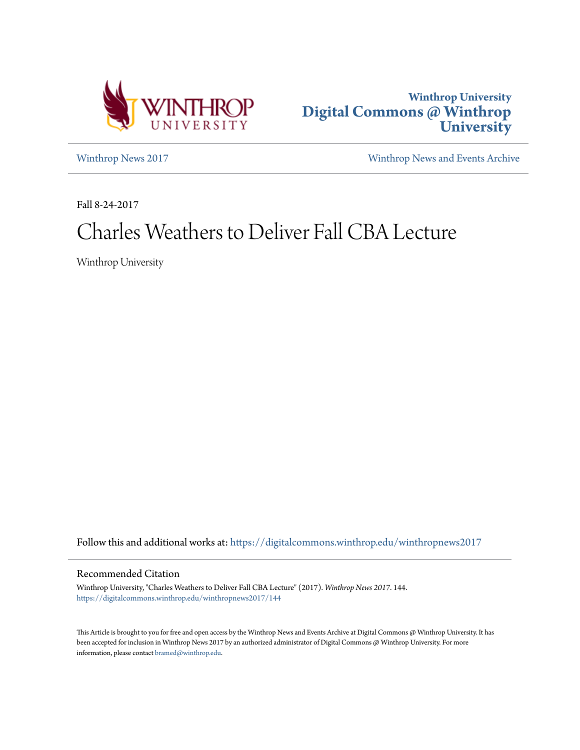



[Winthrop News 2017](https://digitalcommons.winthrop.edu/winthropnews2017?utm_source=digitalcommons.winthrop.edu%2Fwinthropnews2017%2F144&utm_medium=PDF&utm_campaign=PDFCoverPages) [Winthrop News and Events Archive](https://digitalcommons.winthrop.edu/winthropnewsarchives?utm_source=digitalcommons.winthrop.edu%2Fwinthropnews2017%2F144&utm_medium=PDF&utm_campaign=PDFCoverPages)

Fall 8-24-2017

## Charles Weathers to Deliver Fall CBA Lecture

Winthrop University

Follow this and additional works at: [https://digitalcommons.winthrop.edu/winthropnews2017](https://digitalcommons.winthrop.edu/winthropnews2017?utm_source=digitalcommons.winthrop.edu%2Fwinthropnews2017%2F144&utm_medium=PDF&utm_campaign=PDFCoverPages)

## Recommended Citation

Winthrop University, "Charles Weathers to Deliver Fall CBA Lecture" (2017). *Winthrop News 2017*. 144. [https://digitalcommons.winthrop.edu/winthropnews2017/144](https://digitalcommons.winthrop.edu/winthropnews2017/144?utm_source=digitalcommons.winthrop.edu%2Fwinthropnews2017%2F144&utm_medium=PDF&utm_campaign=PDFCoverPages)

This Article is brought to you for free and open access by the Winthrop News and Events Archive at Digital Commons @ Winthrop University. It has been accepted for inclusion in Winthrop News 2017 by an authorized administrator of Digital Commons @ Winthrop University. For more information, please contact [bramed@winthrop.edu](mailto:bramed@winthrop.edu).